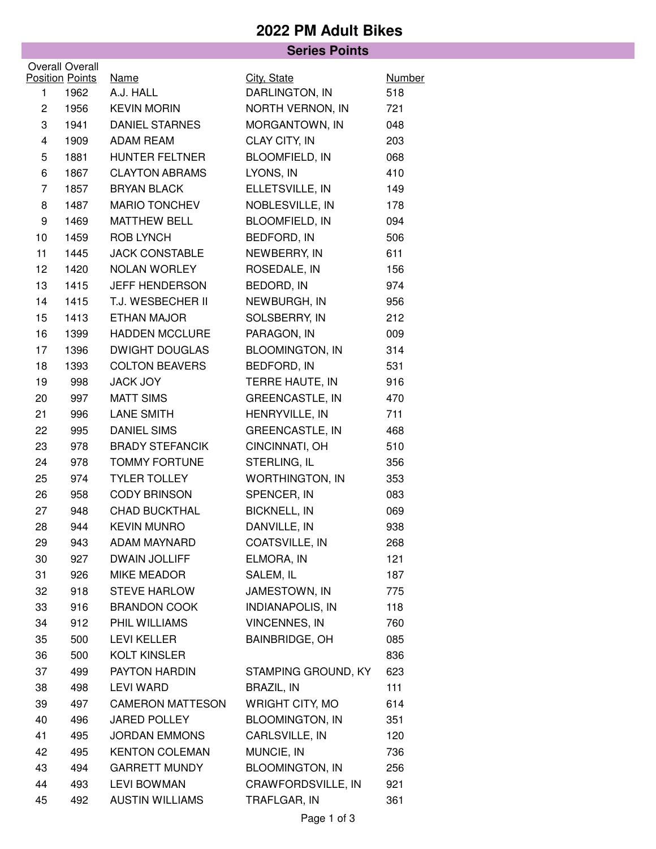## **2022 PM Adult Bikes**

| <b>Series Points</b> |                                |                          |                               |                      |  |  |  |  |
|----------------------|--------------------------------|--------------------------|-------------------------------|----------------------|--|--|--|--|
|                      | <b>Overall Overall</b>         |                          |                               |                      |  |  |  |  |
| 1                    | <b>Position Points</b><br>1962 | <b>Name</b><br>A.J. HALL | City, State<br>DARLINGTON, IN | <b>Number</b><br>518 |  |  |  |  |
| $\overline{c}$       | 1956                           | <b>KEVIN MORIN</b>       | NORTH VERNON, IN              | 721                  |  |  |  |  |
| 3                    | 1941                           | DANIEL STARNES           | MORGANTOWN, IN                | 048                  |  |  |  |  |
| 4                    | 1909                           | ADAM REAM                | CLAY CITY, IN                 | 203                  |  |  |  |  |
| 5                    | 1881                           | HUNTER FELTNER           | <b>BLOOMFIELD, IN</b>         | 068                  |  |  |  |  |
| 6                    | 1867                           | <b>CLAYTON ABRAMS</b>    | LYONS, IN                     | 410                  |  |  |  |  |
| 7                    | 1857                           | <b>BRYAN BLACK</b>       | ELLETSVILLE, IN               | 149                  |  |  |  |  |
| 8                    | 1487                           | <b>MARIO TONCHEV</b>     | NOBLESVILLE, IN               | 178                  |  |  |  |  |
| 9                    | 1469                           | <b>MATTHEW BELL</b>      | <b>BLOOMFIELD, IN</b>         | 094                  |  |  |  |  |
| 10                   | 1459                           | ROB LYNCH                | BEDFORD, IN                   | 506                  |  |  |  |  |
| 11                   | 1445                           | <b>JACK CONSTABLE</b>    | NEWBERRY, IN                  | 611                  |  |  |  |  |
| 12                   | 1420                           | <b>NOLAN WORLEY</b>      | ROSEDALE, IN                  | 156                  |  |  |  |  |
| 13                   | 1415                           | JEFF HENDERSON           | BEDORD, IN                    | 974                  |  |  |  |  |
| 14                   | 1415                           | T.J. WESBECHER II        | NEWBURGH, IN                  | 956                  |  |  |  |  |
| 15                   | 1413                           | ETHAN MAJOR              | SOLSBERRY, IN                 | 212                  |  |  |  |  |
| 16                   | 1399                           | <b>HADDEN MCCLURE</b>    | PARAGON, IN                   | 009                  |  |  |  |  |
| 17                   | 1396                           | <b>DWIGHT DOUGLAS</b>    | <b>BLOOMINGTON, IN</b>        | 314                  |  |  |  |  |
| 18                   | 1393                           | <b>COLTON BEAVERS</b>    | BEDFORD, IN                   | 531                  |  |  |  |  |
| 19                   | 998                            | JACK JOY                 | TERRE HAUTE, IN               | 916                  |  |  |  |  |
| 20                   | 997                            | <b>MATT SIMS</b>         | <b>GREENCASTLE, IN</b>        | 470                  |  |  |  |  |
| 21                   | 996                            | LANE SMITH               | HENRYVILLE, IN                | 711                  |  |  |  |  |
| 22                   | 995                            | <b>DANIEL SIMS</b>       | <b>GREENCASTLE, IN</b>        | 468                  |  |  |  |  |
| 23                   | 978                            | <b>BRADY STEFANCIK</b>   | CINCINNATI, OH                | 510                  |  |  |  |  |
| 24                   | 978                            | <b>TOMMY FORTUNE</b>     | STERLING, IL                  | 356                  |  |  |  |  |
| 25                   | 974                            | <b>TYLER TOLLEY</b>      | <b>WORTHINGTON, IN</b>        | 353                  |  |  |  |  |
| 26                   | 958                            | <b>CODY BRINSON</b>      | SPENCER, IN                   | 083                  |  |  |  |  |
| 27                   | 948                            | <b>CHAD BUCKTHAL</b>     | <b>BICKNELL, IN</b>           | 069                  |  |  |  |  |
| 28                   | 944                            | <b>KEVIN MUNRO</b>       | DANVILLE, IN                  | 938                  |  |  |  |  |
| 29                   | 943                            | ADAM MAYNARD             | COATSVILLE, IN                | 268                  |  |  |  |  |
| 30                   | 927                            | <b>DWAIN JOLLIFF</b>     | ELMORA, IN                    | 121                  |  |  |  |  |
| 31                   | 926                            | MIKE MEADOR              | SALEM, IL                     | 187                  |  |  |  |  |
| 32                   | 918                            | <b>STEVE HARLOW</b>      | JAMESTOWN, IN                 | 775                  |  |  |  |  |
| 33                   | 916                            | <b>BRANDON COOK</b>      | <b>INDIANAPOLIS, IN</b>       | 118                  |  |  |  |  |
| 34                   | 912                            | PHIL WILLIAMS            | <b>VINCENNES, IN</b>          | 760                  |  |  |  |  |
| 35                   | 500                            | LEVI KELLER              | <b>BAINBRIDGE, OH</b>         | 085                  |  |  |  |  |
| 36                   | 500                            | <b>KOLT KINSLER</b>      |                               | 836                  |  |  |  |  |
| 37                   | 499                            | PAYTON HARDIN            | STAMPING GROUND, KY           | 623                  |  |  |  |  |
| 38                   | 498                            | <b>LEVI WARD</b>         | <b>BRAZIL, IN</b>             | 111                  |  |  |  |  |
| 39                   | 497                            | <b>CAMERON MATTESON</b>  | WRIGHT CITY, MO               | 614                  |  |  |  |  |
| 40                   | 496                            | <b>JARED POLLEY</b>      | <b>BLOOMINGTON, IN</b>        | 351                  |  |  |  |  |
| 41                   | 495                            | <b>JORDAN EMMONS</b>     | CARLSVILLE, IN                | 120                  |  |  |  |  |
| 42                   | 495                            | <b>KENTON COLEMAN</b>    | MUNCIE, IN                    | 736                  |  |  |  |  |
| 43                   | 494                            | <b>GARRETT MUNDY</b>     | <b>BLOOMINGTON, IN</b>        | 256                  |  |  |  |  |
| 44                   | 493                            | <b>LEVI BOWMAN</b>       | CRAWFORDSVILLE, IN            | 921                  |  |  |  |  |
| 45                   | 492                            | <b>AUSTIN WILLIAMS</b>   | TRAFLGAR, IN                  | 361                  |  |  |  |  |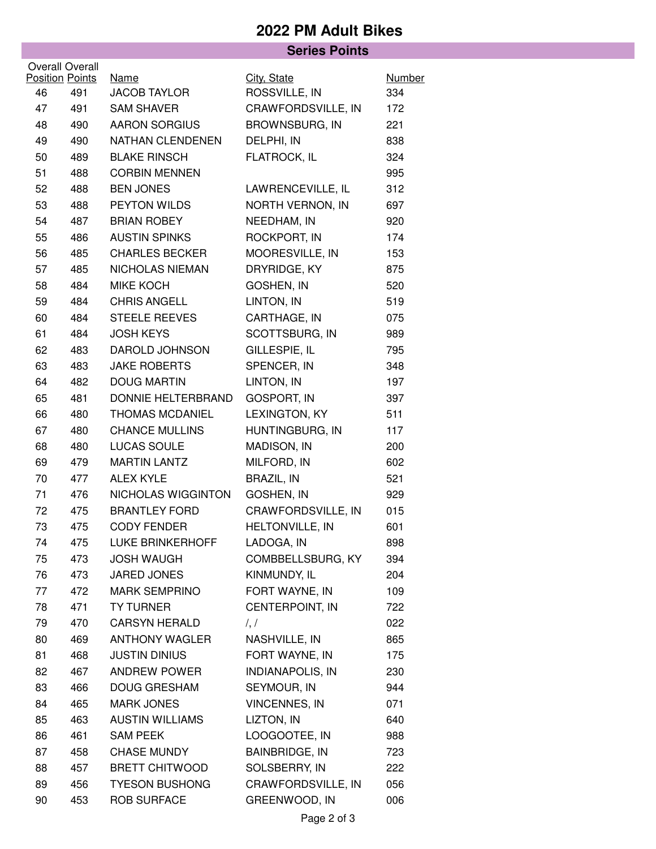## **2022 PM Adult Bikes**

## **Series Points**

|    | <b>Overall Overall</b><br><b>Position Points</b><br>City, State<br>Name |                         | Number                  |     |
|----|-------------------------------------------------------------------------|-------------------------|-------------------------|-----|
| 46 | 491                                                                     | <b>JACOB TAYLOR</b>     | ROSSVILLE, IN           | 334 |
| 47 | 491                                                                     | <b>SAM SHAVER</b>       | CRAWFORDSVILLE, IN      | 172 |
| 48 | 490                                                                     | <b>AARON SORGIUS</b>    | <b>BROWNSBURG, IN</b>   | 221 |
| 49 | 490                                                                     | NATHAN CLENDENEN        | DELPHI, IN              | 838 |
| 50 | 489                                                                     | <b>BLAKE RINSCH</b>     | FLATROCK, IL            | 324 |
| 51 | 488                                                                     | <b>CORBIN MENNEN</b>    |                         | 995 |
| 52 | 488                                                                     | <b>BEN JONES</b>        | LAWRENCEVILLE, IL       | 312 |
| 53 | 488                                                                     | PEYTON WILDS            | NORTH VERNON, IN        | 697 |
| 54 | 487                                                                     | <b>BRIAN ROBEY</b>      | NEEDHAM, IN             | 920 |
| 55 | 486                                                                     | <b>AUSTIN SPINKS</b>    | ROCKPORT, IN            | 174 |
| 56 | 485                                                                     | <b>CHARLES BECKER</b>   | MOORESVILLE, IN         | 153 |
| 57 | 485                                                                     | NICHOLAS NIEMAN         | DRYRIDGE, KY            | 875 |
| 58 | 484                                                                     | <b>MIKE KOCH</b>        | GOSHEN, IN              | 520 |
| 59 | 484                                                                     | <b>CHRIS ANGELL</b>     | LINTON, IN              | 519 |
| 60 | 484                                                                     | <b>STEELE REEVES</b>    | CARTHAGE, IN            | 075 |
| 61 | 484                                                                     | <b>JOSH KEYS</b>        | SCOTTSBURG, IN          | 989 |
| 62 | 483                                                                     | DAROLD JOHNSON          | GILLESPIE, IL           | 795 |
| 63 | 483                                                                     | <b>JAKE ROBERTS</b>     | SPENCER, IN             | 348 |
| 64 | 482                                                                     | <b>DOUG MARTIN</b>      | LINTON, IN              | 197 |
| 65 | 481                                                                     | DONNIE HELTERBRAND      | <b>GOSPORT, IN</b>      | 397 |
| 66 | 480                                                                     | <b>THOMAS MCDANIEL</b>  | LEXINGTON, KY           | 511 |
| 67 | 480                                                                     | <b>CHANCE MULLINS</b>   | HUNTINGBURG, IN         | 117 |
| 68 | 480                                                                     | LUCAS SOULE             | MADISON, IN             | 200 |
| 69 | 479                                                                     | <b>MARTIN LANTZ</b>     | MILFORD, IN             | 602 |
| 70 | 477                                                                     | <b>ALEX KYLE</b>        | <b>BRAZIL, IN</b>       | 521 |
| 71 | 476                                                                     | NICHOLAS WIGGINTON      | GOSHEN, IN              | 929 |
| 72 | 475                                                                     | <b>BRANTLEY FORD</b>    | CRAWFORDSVILLE, IN      | 015 |
| 73 | 475                                                                     | <b>CODY FENDER</b>      | HELTONVILLE, IN         | 601 |
| 74 | 475                                                                     | <b>LUKE BRINKERHOFF</b> | LADOGA, IN              | 898 |
| 75 | 473                                                                     | <b>JOSH WAUGH</b>       | COMBBELLSBURG, KY       | 394 |
| 76 | 473                                                                     | <b>JARED JONES</b>      | KINMUNDY, IL            | 204 |
| 77 | 472                                                                     | <b>MARK SEMPRINO</b>    | FORT WAYNE, IN          | 109 |
| 78 | 471                                                                     | <b>TY TURNER</b>        | CENTERPOINT, IN         | 722 |
| 79 | 470                                                                     | <b>CARSYN HERALD</b>    | $\frac{1}{2}$           | 022 |
| 80 | 469                                                                     | <b>ANTHONY WAGLER</b>   | NASHVILLE, IN           | 865 |
| 81 | 468                                                                     | <b>JUSTIN DINIUS</b>    | FORT WAYNE, IN          | 175 |
| 82 | 467                                                                     | ANDREW POWER            | <b>INDIANAPOLIS, IN</b> | 230 |
| 83 | 466                                                                     | <b>DOUG GRESHAM</b>     | SEYMOUR, IN             | 944 |
| 84 | 465                                                                     | <b>MARK JONES</b>       | <b>VINCENNES, IN</b>    | 071 |
| 85 | 463                                                                     | <b>AUSTIN WILLIAMS</b>  | LIZTON, IN              | 640 |
| 86 | 461                                                                     | <b>SAM PEEK</b>         | LOOGOOTEE, IN           | 988 |
| 87 | 458                                                                     | <b>CHASE MUNDY</b>      | <b>BAINBRIDGE, IN</b>   | 723 |
| 88 | 457                                                                     | <b>BRETT CHITWOOD</b>   | SOLSBERRY, IN           | 222 |
| 89 | 456                                                                     | <b>TYESON BUSHONG</b>   | CRAWFORDSVILLE, IN      | 056 |
| 90 | 453                                                                     | <b>ROB SURFACE</b>      | GREENWOOD, IN           | 006 |
|    |                                                                         |                         |                         |     |